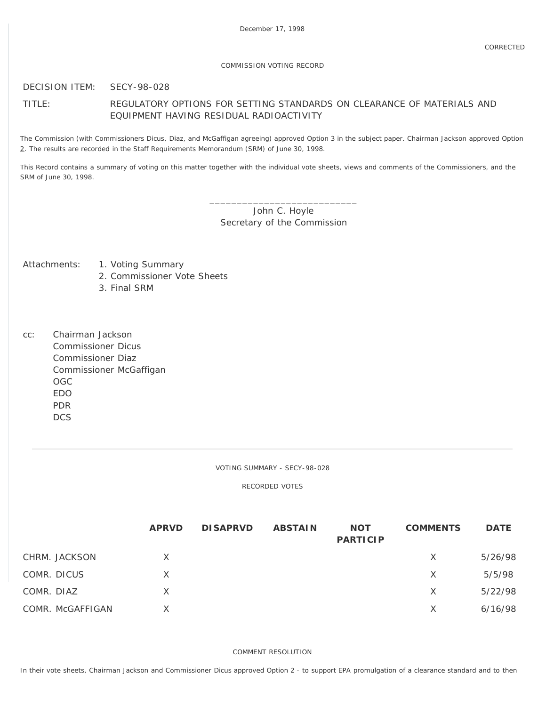## COMMISSION VOTING RECORD

## DECISION ITEM: SECY-98-028

## TITLE: REGULATORY OPTIONS FOR SETTING STANDARDS ON CLEARANCE OF MATERIALS AND EQUIPMENT HAVING RESIDUAL RADIOACTIVITY

The Commission (with Commissioners Dicus, Diaz, and McGaffigan agreeing) approved Option 3 in the subject paper. Chairman Jackson approved Option 2. The results are recorded in the Staff Requirements Memorandum (SRM) of June 30, 1998.

This Record contains a summary of voting on this matter together with the individual vote sheets, views and comments of the Commissioners, and the SRM of June 30, 1998.

> \_\_\_\_\_\_\_\_\_\_\_\_\_\_\_\_\_\_\_\_\_\_\_\_\_\_\_ John C. Hoyle Secretary of the Commission

- Attachments: 1. Voting Summary
	- 2. Commissioner Vote Sheets
	- 3. Final SRM
- cc: Chairman Jackson Commissioner Dicus Commissioner Diaz Commissioner McGaffigan OGC EDO PDR **DCS**

VOTING SUMMARY - SECY-98-028

RECORDED VOTES

|            |                  | <b>APRVD</b> | <b>DISAPRVD</b> | <b>ABSTAIN</b> | <b>NOT</b><br><b>PARTICIP</b> | <b>COMMENTS</b> | <b>DATE</b> |
|------------|------------------|--------------|-----------------|----------------|-------------------------------|-----------------|-------------|
|            | CHRM. JACKSON    | X            |                 |                |                               | X               | 5/26/98     |
|            | COMR. DICUS      | X            |                 |                |                               | X               | 5/5/98      |
| COMR. DIAZ |                  | X            |                 |                |                               | X               | 5/22/98     |
|            | COMR. McGAFFIGAN | X            |                 |                |                               | $\times$        | 6/16/98     |

COMMENT RESOLUTION